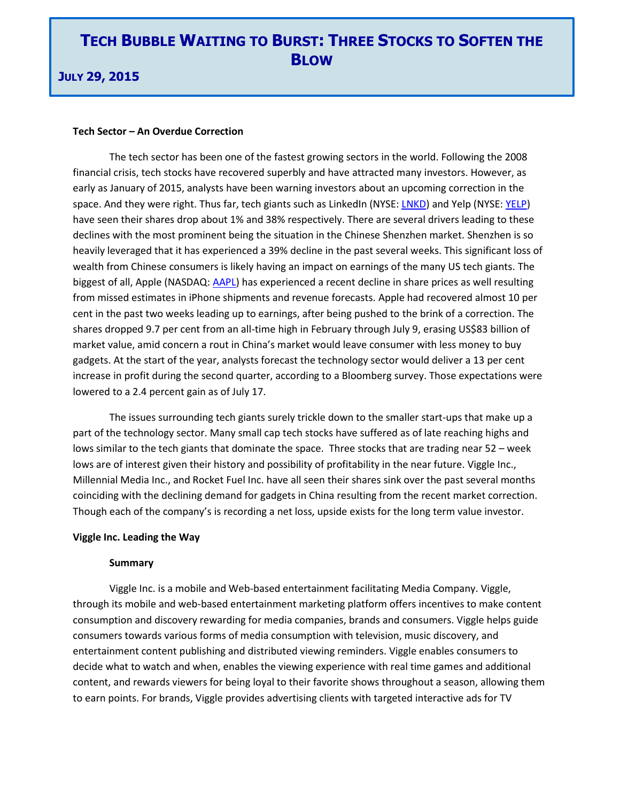## **JULY 29, 2015**

#### **Tech Sector – An Overdue Correction**

The tech sector has been one of the fastest growing sectors in the world. Following the 2008 financial crisis, tech stocks have recovered superbly and have attracted many investors. However, as early as January of 2015, analysts have been warning investors about an upcoming correction in the space. And they were right. Thus far, tech giants such as LinkedIn (NYSE[: LNKD\)](https://ca.finance.yahoo.com/q?s=LNKD) and Yelp (NYSE: [YELP\)](https://ca.finance.yahoo.com/q?s=YELP&ql=0) have seen their shares drop about 1% and 38% respectively. There are several drivers leading to these declines with the most prominent being the situation in the Chinese Shenzhen market. Shenzhen is so heavily leveraged that it has experienced a 39% decline in the past several weeks. This significant loss of wealth from Chinese consumers is likely having an impact on earnings of the many US tech giants. The biggest of all, Apple (NASDAQ: [AAPL\)](https://www.google.ca/finance?q=NASDAQ%3AAAPL&ei=jOK3VYGvGonDe-u-qvAP) has experienced a recent decline in share prices as well resulting from missed estimates in iPhone shipments and revenue forecasts. Apple had recovered almost 10 per cent in the past two weeks leading up to earnings, after being pushed to the brink of a correction. The shares dropped 9.7 per cent from an all-time high in February through July 9, erasing US\$83 billion of market value, amid concern a rout in China's market would leave consumer with less money to buy gadgets. At the start of the year, analysts forecast the technology sector would deliver a 13 per cent increase in profit during the second quarter, according to a Bloomberg survey. Those expectations were lowered to a 2.4 percent gain as of July 17.

The issues surrounding tech giants surely trickle down to the smaller start-ups that make up a part of the technology sector. Many small cap tech stocks have suffered as of late reaching highs and lows similar to the tech giants that dominate the space. Three stocks that are trading near 52 – week lows are of interest given their history and possibility of profitability in the near future. Viggle Inc., Millennial Media Inc., and Rocket Fuel Inc. have all seen their shares sink over the past several months coinciding with the declining demand for gadgets in China resulting from the recent market correction. Though each of the company's is recording a net loss, upside exists for the long term value investor.

### **Viggle Inc. Leading the Way**

#### **Summary**

Viggle Inc. is a mobile and Web-based entertainment facilitating Media Company. Viggle, through its mobile and web-based entertainment marketing platform offers incentives to make content consumption and discovery rewarding for media companies, brands and consumers. Viggle helps guide consumers towards various forms of media consumption with television, music discovery, and entertainment content publishing and distributed viewing reminders. Viggle enables consumers to decide what to watch and when, enables the viewing experience with real time games and additional content, and rewards viewers for being loyal to their favorite shows throughout a season, allowing them to earn points. For brands, Viggle provides advertising clients with targeted interactive ads for TV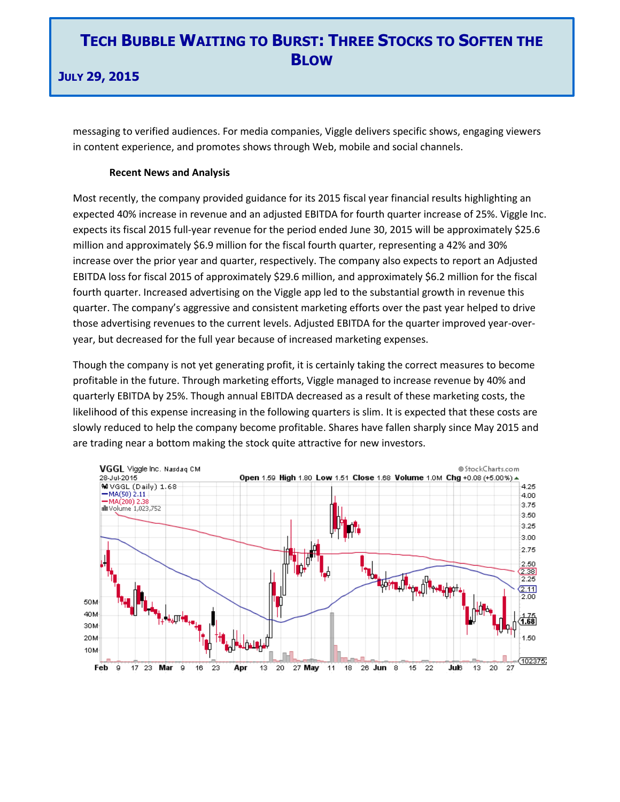## **JULY 29, 2015**

messaging to verified audiences. For media companies, Viggle delivers specific shows, engaging viewers in content experience, and promotes shows through Web, mobile and social channels.

## **Recent News and Analysis**

Most recently, the company provided guidance for its 2015 fiscal year financial results highlighting an expected 40% increase in revenue and an adjusted EBITDA for fourth quarter increase of 25%. Viggle Inc. expects its fiscal 2015 full-year revenue for the period ended June 30, 2015 will be approximately \$25.6 million and approximately \$6.9 million for the fiscal fourth quarter, representing a 42% and 30% increase over the prior year and quarter, respectively. The company also expects to report an Adjusted EBITDA loss for fiscal 2015 of approximately \$29.6 million, and approximately \$6.2 million for the fiscal fourth quarter. Increased advertising on the Viggle app led to the substantial growth in revenue this quarter. The company's aggressive and consistent marketing efforts over the past year helped to drive those advertising revenues to the current levels. Adjusted EBITDA for the quarter improved year-overyear, but decreased for the full year because of increased marketing expenses.

Though the company is not yet generating profit, it is certainly taking the correct measures to become profitable in the future. Through marketing efforts, Viggle managed to increase revenue by 40% and quarterly EBITDA by 25%. Though annual EBITDA decreased as a result of these marketing costs, the likelihood of this expense increasing in the following quarters is slim. It is expected that these costs are slowly reduced to help the company become profitable. Shares have fallen sharply since May 2015 and are trading near a bottom making the stock quite attractive for new investors.

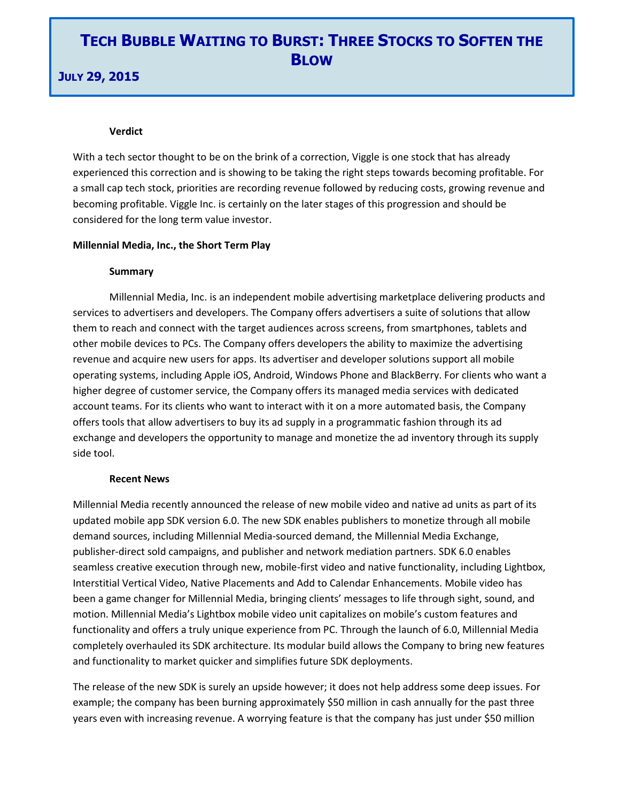## **JULY 29, 2015**

### **Verdict**

With a tech sector thought to be on the brink of a correction, Viggle is one stock that has already experienced this correction and is showing to be taking the right steps towards becoming profitable. For a small cap tech stock, priorities are recording revenue followed by reducing costs, growing revenue and becoming profitable. Viggle Inc. is certainly on the later stages of this progression and should be considered for the long term value investor.

#### **Millennial Media, Inc., the Short Term Play**

#### **Summary**

Millennial Media, Inc. is an independent mobile advertising marketplace delivering products and services to advertisers and developers. The Company offers advertisers a suite of solutions that allow them to reach and connect with the target audiences across screens, from smartphones, tablets and other mobile devices to PCs. The Company offers developers the ability to maximize the advertising revenue and acquire new users for apps. Its advertiser and developer solutions support all mobile operating systems, including Apple iOS, Android, Windows Phone and BlackBerry. For clients who want a higher degree of customer service, the Company offers its managed media services with dedicated account teams. For its clients who want to interact with it on a more automated basis, the Company offers tools that allow advertisers to buy its ad supply in a programmatic fashion through its ad exchange and developers the opportunity to manage and monetize the ad inventory through its supply side tool.

#### **Recent News**

Millennial Media recently announced the release of new mobile video and native ad units as part of its updated mobile app SDK version 6.0. The new SDK enables publishers to monetize through all mobile demand sources, including Millennial Media-sourced demand, the Millennial Media Exchange, publisher-direct sold campaigns, and publisher and network mediation partners. SDK 6.0 enables seamless creative execution through new, mobile-first video and native functionality, including Lightbox, Interstitial Vertical Video, Native Placements and Add to Calendar Enhancements. Mobile video has been a game changer for Millennial Media, bringing clients' messages to life through sight, sound, and motion. Millennial Media's Lightbox mobile video unit capitalizes on mobile's custom features and functionality and offers a truly unique experience from PC. Through the launch of 6.0, Millennial Media completely overhauled its SDK architecture. Its modular build allows the Company to bring new features and functionality to market quicker and simplifies future SDK deployments.

The release of the new SDK is surely an upside however; it does not help address some deep issues. For example; the company has been burning approximately \$50 million in cash annually for the past three years even with increasing revenue. A worrying feature is that the company has just under \$50 million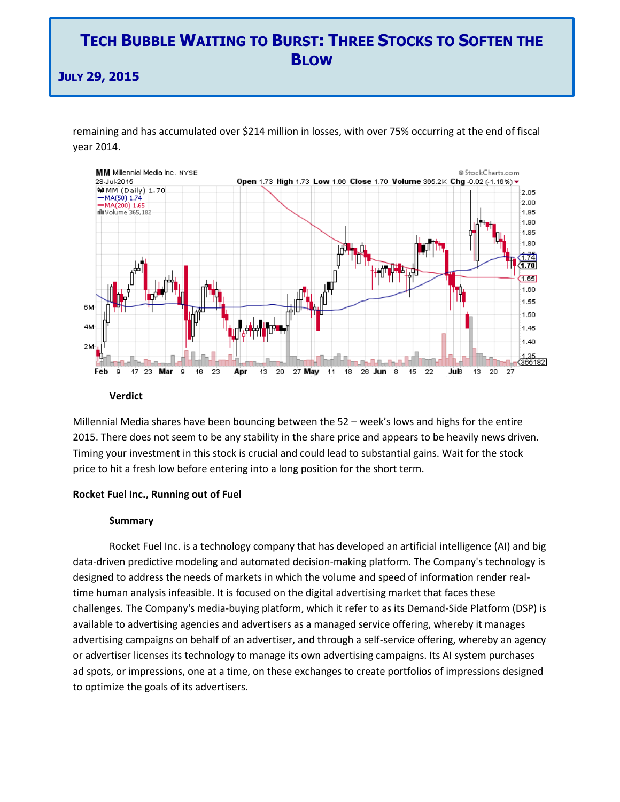**JULY 29, 2015**

remaining and has accumulated over \$214 million in losses, with over 75% occurring at the end of fiscal year 2014.



Millennial Media shares have been bouncing between the 52 – week's lows and highs for the entire 2015. There does not seem to be any stability in the share price and appears to be heavily news driven. Timing your investment in this stock is crucial and could lead to substantial gains. Wait for the stock price to hit a fresh low before entering into a long position for the short term.

### **Rocket Fuel Inc., Running out of Fuel**

### **Summary**

Rocket Fuel Inc. is a technology company that has developed an artificial intelligence (AI) and big data-driven predictive modeling and automated decision-making platform. The Company's technology is designed to address the needs of markets in which the volume and speed of information render realtime human analysis infeasible. It is focused on the digital advertising market that faces these challenges. The Company's media-buying platform, which it refer to as its Demand-Side Platform (DSP) is available to advertising agencies and advertisers as a managed service offering, whereby it manages advertising campaigns on behalf of an advertiser, and through a self-service offering, whereby an agency or advertiser licenses its technology to manage its own advertising campaigns. Its AI system purchases ad spots, or impressions, one at a time, on these exchanges to create portfolios of impressions designed to optimize the goals of its advertisers.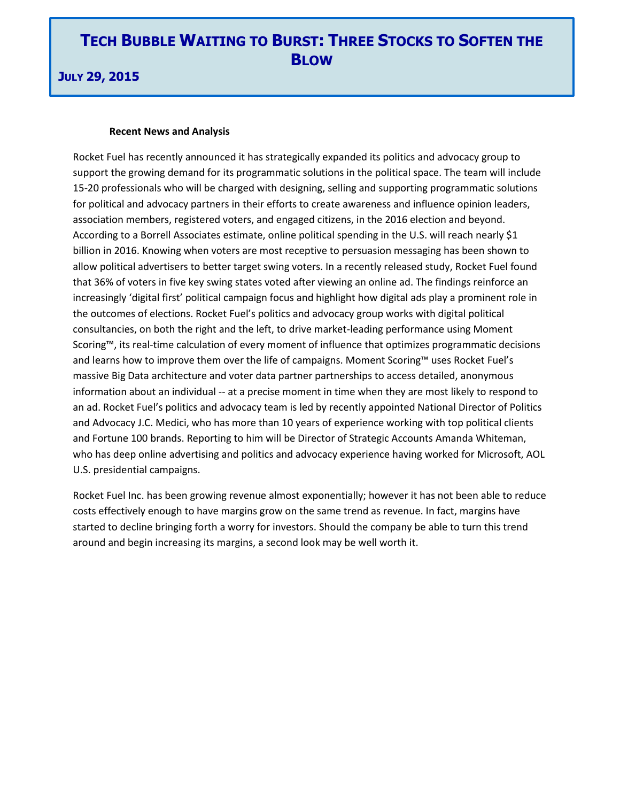## **JULY 29, 2015**

### **Recent News and Analysis**

Rocket Fuel has recently announced it has strategically expanded its politics and advocacy group to support the growing demand for its programmatic solutions in the political space. The team will include 15-20 professionals who will be charged with designing, selling and supporting programmatic solutions for political and advocacy partners in their efforts to create awareness and influence opinion leaders, association members, registered voters, and engaged citizens, in the 2016 election and beyond. According to a Borrell Associates estimate, online political spending in the U.S. will reach nearly \$1 billion in 2016. Knowing when voters are most receptive to persuasion messaging has been shown to allow political advertisers to better target swing voters. In a recently released study, Rocket Fuel found that 36% of voters in five key swing states voted after viewing an online ad. The findings reinforce an increasingly 'digital first' political campaign focus and highlight how digital ads play a prominent role in the outcomes of elections. Rocket Fuel's politics and advocacy group works with digital political consultancies, on both the right and the left, to drive market-leading performance using Moment Scoring™, its real-time calculation of every moment of influence that optimizes programmatic decisions and learns how to improve them over the life of campaigns. Moment Scoring™ uses Rocket Fuel's massive Big Data architecture and voter data partner partnerships to access detailed, anonymous information about an individual -- at a precise moment in time when they are most likely to respond to an ad. Rocket Fuel's politics and advocacy team is led by recently appointed National Director of Politics and Advocacy J.C. Medici, who has more than 10 years of experience working with top political clients and Fortune 100 brands. Reporting to him will be Director of Strategic Accounts Amanda Whiteman, who has deep online advertising and politics and advocacy experience having worked for Microsoft, AOL U.S. presidential campaigns.

Rocket Fuel Inc. has been growing revenue almost exponentially; however it has not been able to reduce costs effectively enough to have margins grow on the same trend as revenue. In fact, margins have started to decline bringing forth a worry for investors. Should the company be able to turn this trend around and begin increasing its margins, a second look may be well worth it.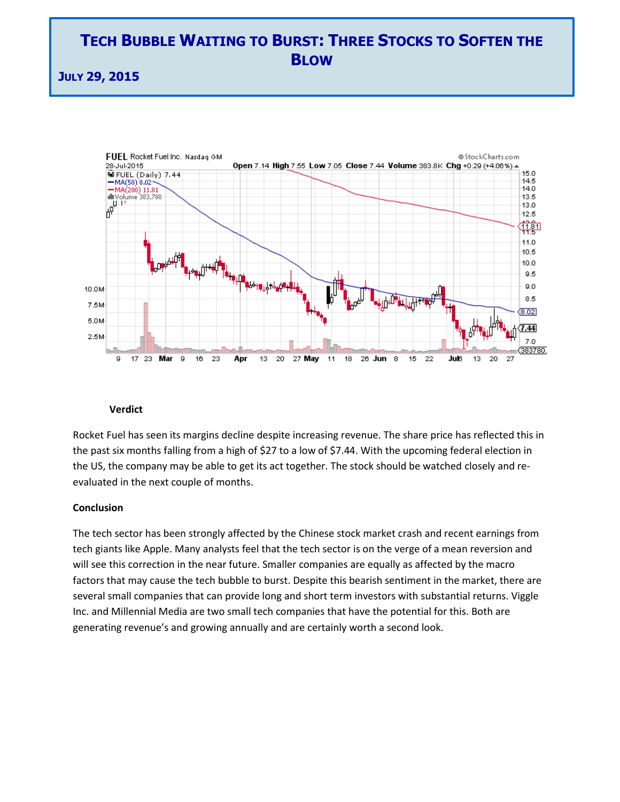**JULY 29, 2015**



### **Verdict**

Rocket Fuel has seen its margins decline despite increasing revenue. The share price has reflected this in the past six months falling from a high of \$27 to a low of \$7.44. With the upcoming federal election in the US, the company may be able to get its act together. The stock should be watched closely and reevaluated in the next couple of months.

### **Conclusion**

The tech sector has been strongly affected by the Chinese stock market crash and recent earnings from tech giants like Apple. Many analysts feel that the tech sector is on the verge of a mean reversion and will see this correction in the near future. Smaller companies are equally as affected by the macro factors that may cause the tech bubble to burst. Despite this bearish sentiment in the market, there are several small companies that can provide long and short term investors with substantial returns. Viggle Inc. and Millennial Media are two small tech companies that have the potential for this. Both are generating revenue's and growing annually and are certainly worth a second look.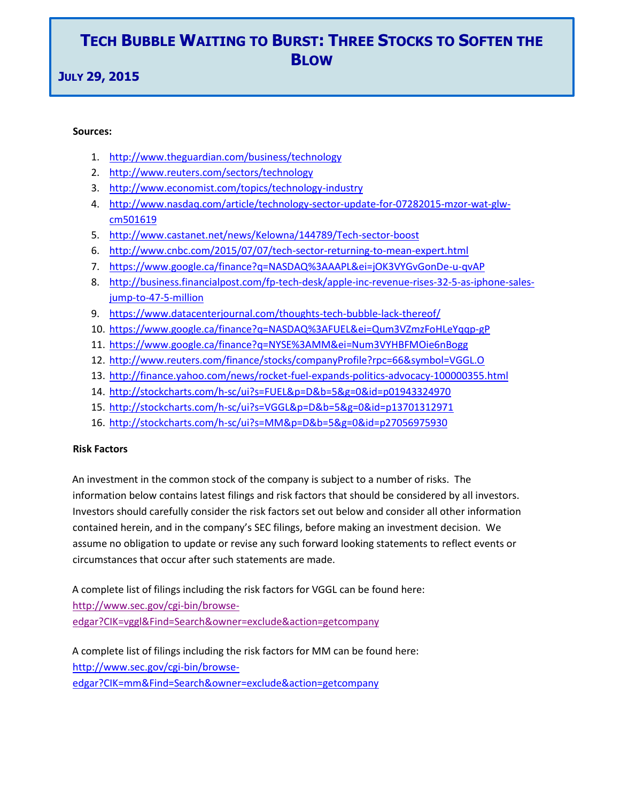## **JULY 29, 2015**

### **Sources:**

- 1. <http://www.theguardian.com/business/technology>
- 2. <http://www.reuters.com/sectors/technology>
- 3. <http://www.economist.com/topics/technology-industry>
- 4. [http://www.nasdaq.com/article/technology-sector-update-for-07282015-mzor-wat-glw](http://www.nasdaq.com/article/technology-sector-update-for-07282015-mzor-wat-glw-cm501619)[cm501619](http://www.nasdaq.com/article/technology-sector-update-for-07282015-mzor-wat-glw-cm501619)
- 5. <http://www.castanet.net/news/Kelowna/144789/Tech-sector-boost>
- 6. <http://www.cnbc.com/2015/07/07/tech-sector-returning-to-mean-expert.html>
- 7. <https://www.google.ca/finance?q=NASDAQ%3AAAPL&ei=jOK3VYGvGonDe-u-qvAP>
- 8. [http://business.financialpost.com/fp-tech-desk/apple-inc-revenue-rises-32-5-as-iphone-sales](http://business.financialpost.com/fp-tech-desk/apple-inc-revenue-rises-32-5-as-iphone-sales-jump-to-47-5-million)[jump-to-47-5-million](http://business.financialpost.com/fp-tech-desk/apple-inc-revenue-rises-32-5-as-iphone-sales-jump-to-47-5-million)
- 9. <https://www.datacenterjournal.com/thoughts-tech-bubble-lack-thereof/>
- 10. <https://www.google.ca/finance?q=NASDAQ%3AFUEL&ei=Qum3VZmzFoHLeYqqp-gP>
- 11. <https://www.google.ca/finance?q=NYSE%3AMM&ei=Num3VYHBFMOie6nBogg>
- 12. <http://www.reuters.com/finance/stocks/companyProfile?rpc=66&symbol=VGGL.O>
- 13. <http://finance.yahoo.com/news/rocket-fuel-expands-politics-advocacy-100000355.html>
- 14. <http://stockcharts.com/h-sc/ui?s=FUEL&p=D&b=5&g=0&id=p01943324970>
- 15. <http://stockcharts.com/h-sc/ui?s=VGGL&p=D&b=5&g=0&id=p13701312971>
- 16. <http://stockcharts.com/h-sc/ui?s=MM&p=D&b=5&g=0&id=p27056975930>

### **Risk Factors**

An investment in the common stock of the company is subject to a number of risks. The information below contains latest filings and risk factors that should be considered by all investors. Investors should carefully consider the risk factors set out below and consider all other information contained herein, and in the company's SEC filings, before making an investment decision. We assume no obligation to update or revise any such forward looking statements to reflect events or circumstances that occur after such statements are made.

A complete list of filings including the risk factors for VGGL can be found here: [http://www.sec.gov/cgi-bin/browse](http://www.sec.gov/cgi-bin/browse-edgar?CIK=vggl&Find=Search&owner=exclude&action=getcompany)[edgar?CIK=vggl&Find=Search&owner=exclude&action=getcompany](http://www.sec.gov/cgi-bin/browse-edgar?CIK=vggl&Find=Search&owner=exclude&action=getcompany)

A complete list of filings including the risk factors for MM can be found here: [http://www.sec.gov/cgi-bin/browse](http://www.sec.gov/cgi-bin/browse-edgar?CIK=mm&Find=Search&owner=exclude&action=getcompany)[edgar?CIK=mm&Find=Search&owner=exclude&action=getcompany](http://www.sec.gov/cgi-bin/browse-edgar?CIK=mm&Find=Search&owner=exclude&action=getcompany)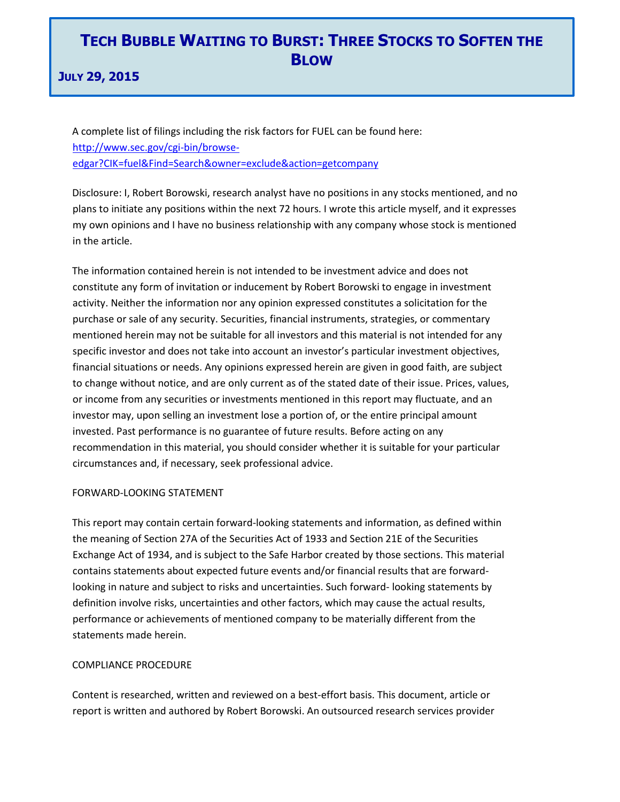## **JULY 29, 2015**

A complete list of filings including the risk factors for FUEL can be found here: [http://www.sec.gov/cgi-bin/browse](http://www.sec.gov/cgi-bin/browse-edgar?CIK=fuel&Find=Search&owner=exclude&action=getcompany)[edgar?CIK=fuel&Find=Search&owner=exclude&action=getcompany](http://www.sec.gov/cgi-bin/browse-edgar?CIK=fuel&Find=Search&owner=exclude&action=getcompany)

Disclosure: I, Robert Borowski, research analyst have no positions in any stocks mentioned, and no plans to initiate any positions within the next 72 hours. I wrote this article myself, and it expresses my own opinions and I have no business relationship with any company whose stock is mentioned in the article.

The information contained herein is not intended to be investment advice and does not constitute any form of invitation or inducement by Robert Borowski to engage in investment activity. Neither the information nor any opinion expressed constitutes a solicitation for the purchase or sale of any security. Securities, financial instruments, strategies, or commentary mentioned herein may not be suitable for all investors and this material is not intended for any specific investor and does not take into account an investor's particular investment objectives, financial situations or needs. Any opinions expressed herein are given in good faith, are subject to change without notice, and are only current as of the stated date of their issue. Prices, values, or income from any securities or investments mentioned in this report may fluctuate, and an investor may, upon selling an investment lose a portion of, or the entire principal amount invested. Past performance is no guarantee of future results. Before acting on any recommendation in this material, you should consider whether it is suitable for your particular circumstances and, if necessary, seek professional advice.

### FORWARD-LOOKING STATEMENT

This report may contain certain forward-looking statements and information, as defined within the meaning of Section 27A of the Securities Act of 1933 and Section 21E of the Securities Exchange Act of 1934, and is subject to the Safe Harbor created by those sections. This material contains statements about expected future events and/or financial results that are forwardlooking in nature and subject to risks and uncertainties. Such forward- looking statements by definition involve risks, uncertainties and other factors, which may cause the actual results, performance or achievements of mentioned company to be materially different from the statements made herein.

### COMPLIANCE PROCEDURE

Content is researched, written and reviewed on a best-effort basis. This document, article or report is written and authored by Robert Borowski. An outsourced research services provider